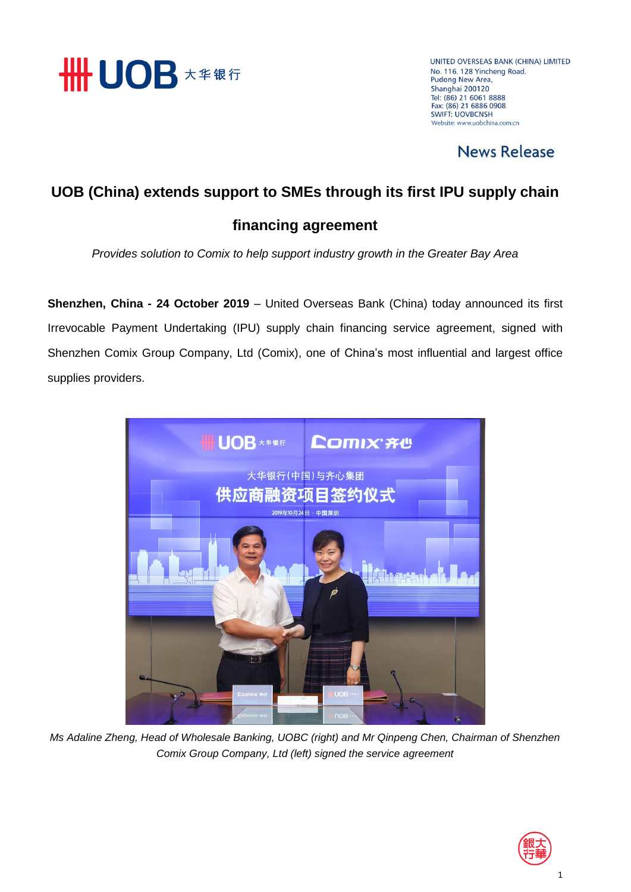

UNITED OVERSEAS BANK (CHINA) LIMITED No. 116, 128 Yincheng Road, Pudong New Area, Shanghai 200120 Tel: (86) 21 6061 8888<br>Fax: (86) 21 6061 8888 **SWIFT: LIOVRCNSH** Website: www.uobchina.com.cn

### **News Release**

### **UOB (China) extends support to SMEs through its first IPU supply chain**

#### **financing agreement**

*Provides solution to Comix to help support industry growth in the Greater Bay Area* 

**Shenzhen, China - 24 October 2019** – United Overseas Bank (China) today announced its first Irrevocable Payment Undertaking (IPU) supply chain financing service agreement, signed with Shenzhen Comix Group Company, Ltd (Comix), one of China's most influential and largest office supplies providers.



*Ms Adaline Zheng, Head of Wholesale Banking, UOBC (right) and Mr Qinpeng Chen, Chairman of Shenzhen Comix Group Company, Ltd (left) signed the service agreement* 

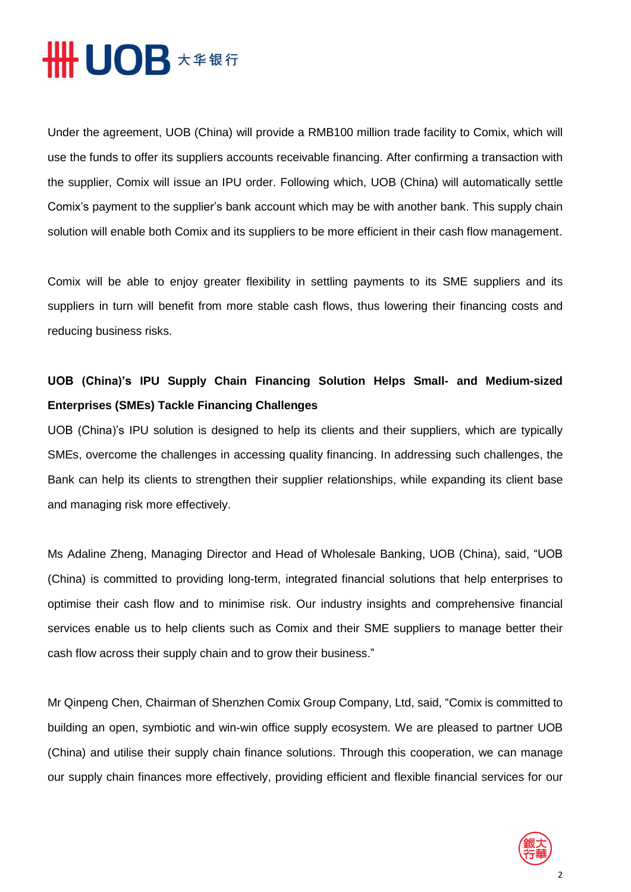## **HHUOB**  $\star\ast\ast\ast\mathrm{f}$

Under the agreement, UOB (China) will provide a RMB100 million trade facility to Comix, which will use the funds to offer its suppliers accounts receivable financing. After confirming a transaction with the supplier, Comix will issue an IPU order. Following which, UOB (China) will automatically settle Comix's payment to the supplier's bank account which may be with another bank. This supply chain solution will enable both Comix and its suppliers to be more efficient in their cash flow management.

Comix will be able to enjoy greater flexibility in settling payments to its SME suppliers and its suppliers in turn will benefit from more stable cash flows, thus lowering their financing costs and reducing business risks.

### **UOB (China)'s IPU Supply Chain Financing Solution Helps Small- and Medium-sized Enterprises (SMEs) Tackle Financing Challenges**

UOB (China)'s IPU solution is designed to help its clients and their suppliers, which are typically SMEs, overcome the challenges in accessing quality financing. In addressing such challenges, the Bank can help its clients to strengthen their supplier relationships, while expanding its client base and managing risk more effectively.

Ms Adaline Zheng, Managing Director and Head of Wholesale Banking, UOB (China), said, "UOB (China) is committed to providing long-term, integrated financial solutions that help enterprises to optimise their cash flow and to minimise risk. Our industry insights and comprehensive financial services enable us to help clients such as Comix and their SME suppliers to manage better their cash flow across their supply chain and to grow their business."

Mr Qinpeng Chen, Chairman of Shenzhen Comix Group Company, Ltd, said, "Comix is committed to building an open, symbiotic and win-win office supply ecosystem. We are pleased to partner UOB (China) and utilise their supply chain finance solutions. Through this cooperation, we can manage our supply chain finances more effectively, providing efficient and flexible financial services for our

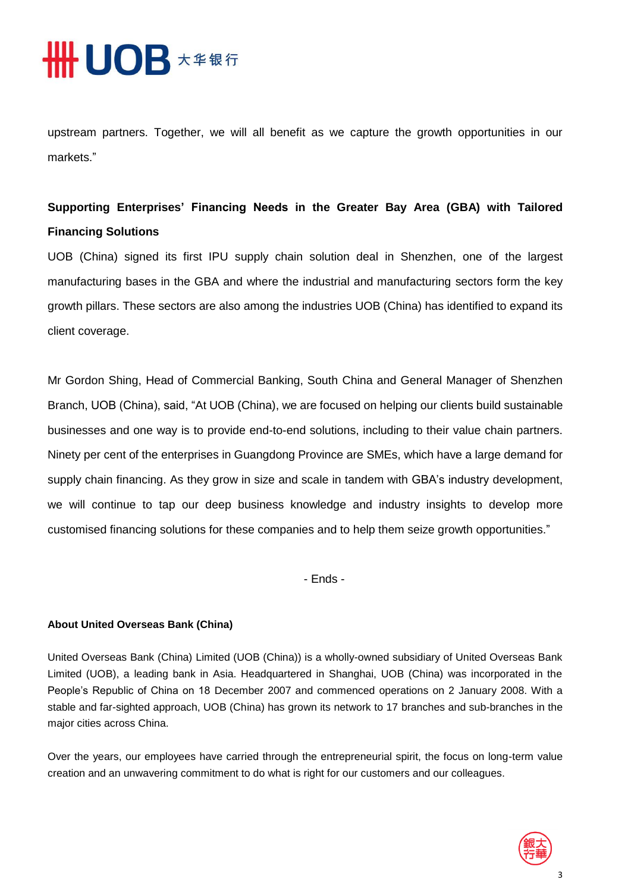## **HHUOB \*\*\*\***

upstream partners. Together, we will all benefit as we capture the growth opportunities in our markets."

### **Supporting Enterprises' Financing Needs in the Greater Bay Area (GBA) with Tailored Financing Solutions**

UOB (China) signed its first IPU supply chain solution deal in Shenzhen, one of the largest manufacturing bases in the GBA and where the industrial and manufacturing sectors form the key growth pillars. These sectors are also among the industries UOB (China) has identified to expand its client coverage.

Mr Gordon Shing, Head of Commercial Banking, South China and General Manager of Shenzhen Branch, UOB (China), said, "At UOB (China), we are focused on helping our clients build sustainable businesses and one way is to provide end-to-end solutions, including to their value chain partners. Ninety per cent of the enterprises in Guangdong Province are SMEs, which have a large demand for supply chain financing. As they grow in size and scale in tandem with GBA's industry development, we will continue to tap our deep business knowledge and industry insights to develop more customised financing solutions for these companies and to help them seize growth opportunities."

- Ends -

#### **About United Overseas Bank (China)**

United Overseas Bank (China) Limited (UOB (China)) is a wholly-owned subsidiary of United Overseas Bank Limited (UOB), a leading bank in Asia. Headquartered in Shanghai, UOB (China) was incorporated in the People's Republic of China on 18 December 2007 and commenced operations on 2 January 2008. With a stable and far-sighted approach, UOB (China) has grown its network to 17 branches and sub-branches in the major cities across China.

Over the years, our employees have carried through the entrepreneurial spirit, the focus on long-term value creation and an unwavering commitment to do what is right for our customers and our colleagues.